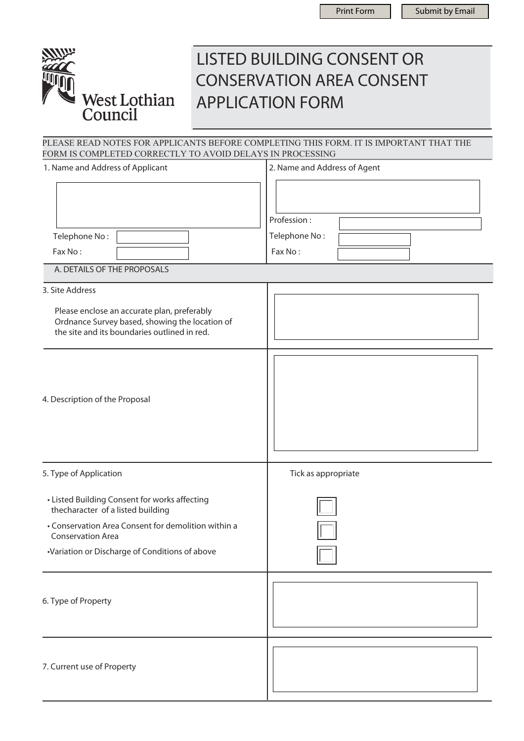

# LISTED BUILDING CONSENT OR CONSERVATION AREA CONSENT APPLICATION FORM

PLEASE READ NOTES FOR APPLICANTS BEFORE COMPLETING THIS FORM. IT IS IMPORTANT THAT THE FORM IS COMPLETED CORRECTLY TO AVOID DELAYS IN PROCESSING

| 1. Name and Address of Applicant                                                                                                                                                                                        | 2. Name and Address of Agent            |
|-------------------------------------------------------------------------------------------------------------------------------------------------------------------------------------------------------------------------|-----------------------------------------|
| Telephone No:<br>Fax No:<br>A. DETAILS OF THE PROPOSALS                                                                                                                                                                 | Profession:<br>Telephone No:<br>Fax No: |
| 3. Site Address                                                                                                                                                                                                         |                                         |
| Please enclose an accurate plan, preferably<br>Ordnance Survey based, showing the location of<br>the site and its boundaries outlined in red.                                                                           |                                         |
| 4. Description of the Proposal                                                                                                                                                                                          |                                         |
| 5. Type of Application                                                                                                                                                                                                  | Tick as appropriate                     |
| • Listed Building Consent for works affecting<br>thecharacter of a listed building<br>• Conservation Area Consent for demolition within a<br><b>Conservation Area</b><br>•Variation or Discharge of Conditions of above |                                         |
| 6. Type of Property                                                                                                                                                                                                     |                                         |
| 7. Current use of Property                                                                                                                                                                                              |                                         |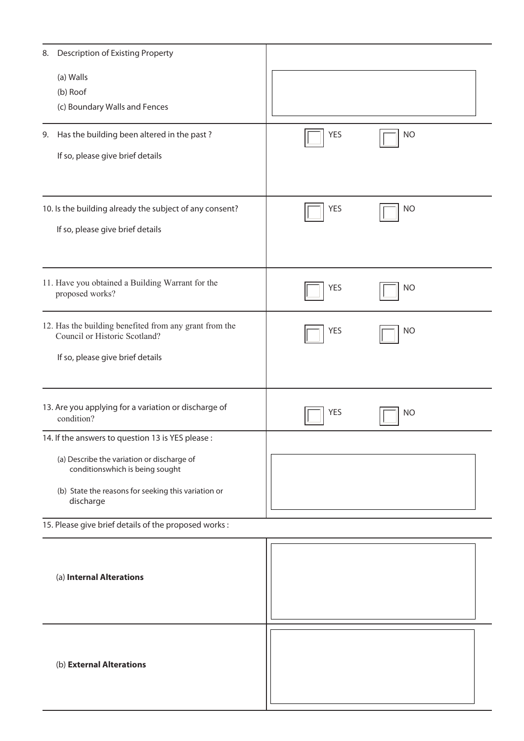| Description of Existing Property<br>8.                                                                                                                                                                 |            |           |  |
|--------------------------------------------------------------------------------------------------------------------------------------------------------------------------------------------------------|------------|-----------|--|
| (a) Walls<br>(b) Roof<br>(c) Boundary Walls and Fences                                                                                                                                                 |            |           |  |
| Has the building been altered in the past?<br>9.<br>If so, please give brief details                                                                                                                   | <b>YES</b> | <b>NO</b> |  |
| 10. Is the building already the subject of any consent?<br>If so, please give brief details                                                                                                            | <b>YES</b> | <b>NO</b> |  |
| 11. Have you obtained a Building Warrant for the<br>proposed works?                                                                                                                                    | <b>YES</b> | <b>NO</b> |  |
| 12. Has the building benefited from any grant from the<br>Council or Historic Scotland?<br>If so, please give brief details                                                                            | <b>YES</b> | <b>NO</b> |  |
| 13. Are you applying for a variation or discharge of<br>condition?                                                                                                                                     | <b>YES</b> | <b>NO</b> |  |
| 14. If the answers to question 13 is YES please :<br>(a) Describe the variation or discharge of<br>conditionswhich is being sought<br>(b) State the reasons for seeking this variation or<br>discharge |            |           |  |
| 15. Please give brief details of the proposed works:                                                                                                                                                   |            |           |  |
| (a) Internal Alterations                                                                                                                                                                               |            |           |  |
| (b) External Alterations                                                                                                                                                                               |            |           |  |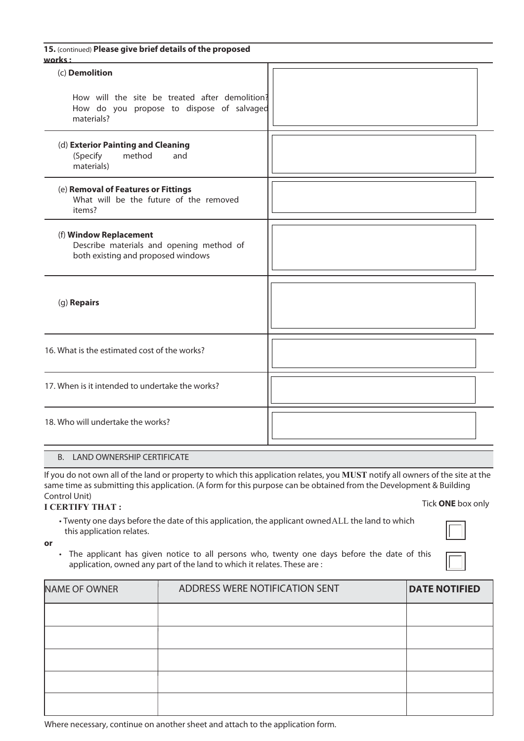| How will the site be treated after demolition?<br>How do you propose to dispose of salvaged |
|---------------------------------------------------------------------------------------------|
|                                                                                             |
|                                                                                             |
|                                                                                             |
|                                                                                             |
|                                                                                             |
|                                                                                             |
|                                                                                             |
|                                                                                             |

## B. LAND OWNERSHIP CERTIFICATE

Tick **ONE** box only If you do not own all of the land or property to which this application relates, you **MUST** notify all owners of the site at the same time as submitting this application. (A form for this purpose can be obtained from the Development & Building Control Unit)

## **I CERTIFY THAT :**

- Twenty one days before the date of this application, the applicant owned ALL the land to which this application relates.
- 

**or**

• The applicant has given notice to all persons who, twenty one days before the date of this application, owned any part of the land to which it relates. These are :

| NAME OF OWNER | ADDRESS WERE NOTIFICATION SENT | <b>DATE NOTIFIED</b> |
|---------------|--------------------------------|----------------------|
|               |                                |                      |
|               |                                |                      |
|               |                                |                      |
|               |                                |                      |
|               |                                |                      |

Where necessary, continue on another sheet and attach to the application form.